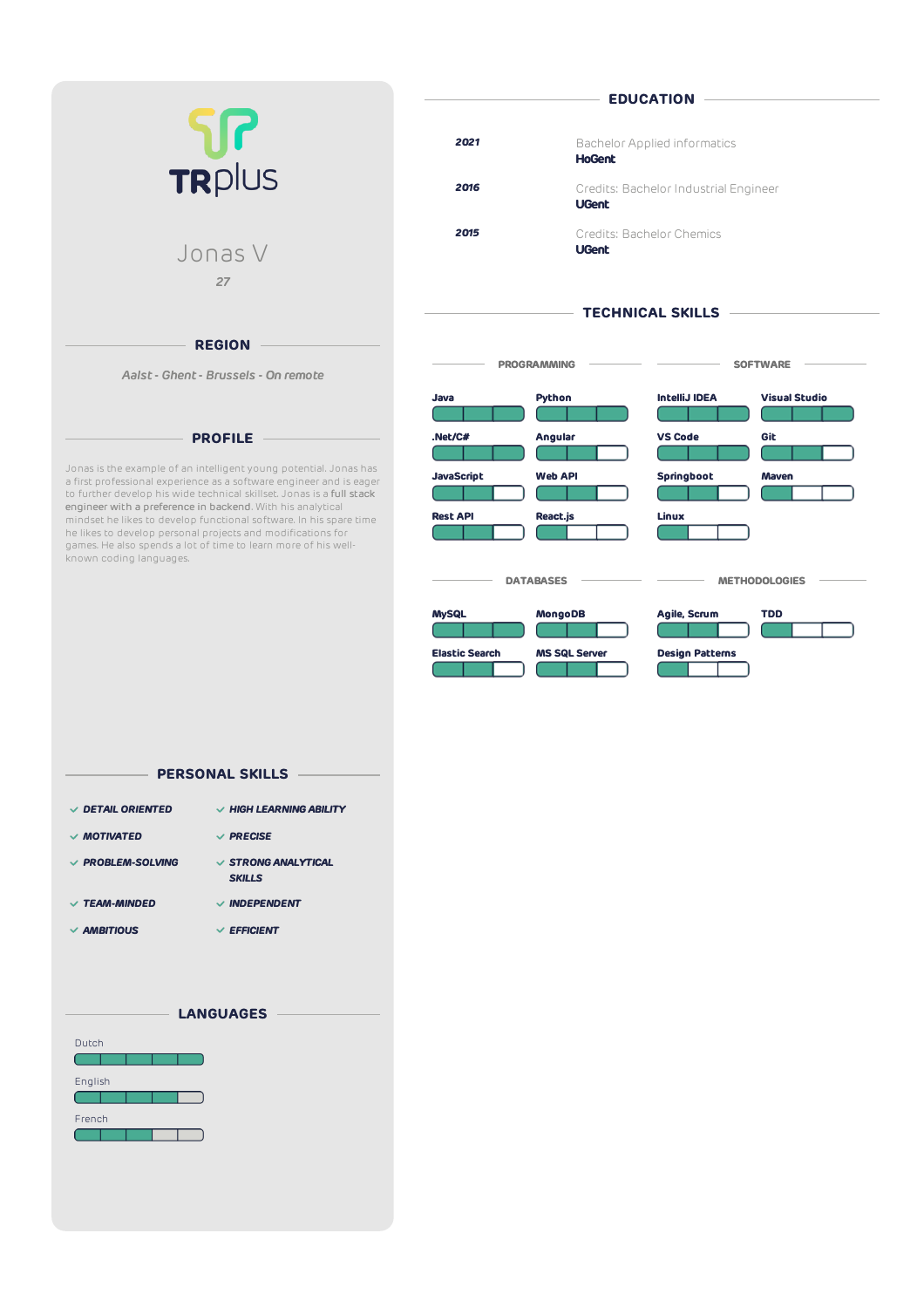| 517<br>TRPIUS |  |
|---------------|--|
| Jonas V<br>27 |  |

#### **REGION**

*Aalst- Ghent- Brussels - On remote*

### **PROFILE**

Jonas is the example of an intelligentyoung potential. Jonas has a first professional experience as a software engineer and is eager to further develop his wide technical skillset. Jonas is a full stack engineer with a preference in backend. With his analytical mindset he likes to develop functional software. In his spare time he likes to develop personal projects and modifications for games. He also spends a lot of time to learn more of his wellknown coding languages.

| 2021 | <b>Bachelor Applied informatics</b><br><b>HoGent</b>  |
|------|-------------------------------------------------------|
| 2016 | Credits: Bachelor Industrial Engineer<br><b>UGent</b> |
| 2015 | Credits: Bachelor Chemics<br><b>UGent</b>             |

# **TECHNICAL SKILLS**

- EDUCATION -



# *DETAIL ORIENTED HIGH LEARNING ABILITY MOTIVATED PRECISE PROBLEM-SOLVING STRONG ANALYTICAL* **PERSONAL SKILLS**

- *SKILLS*
- *TEAM-MINDED INDEPENDENT*
- *AMBITIOUS EFFICIENT*
-